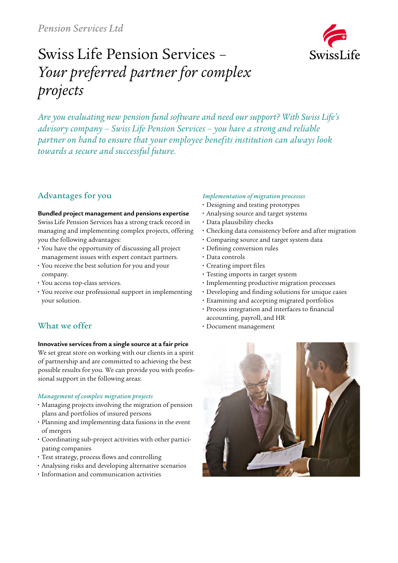

# Swiss Life Pension Services – *Your preferred partner for complex projects*

*Are you evaluating new pension fund software and need our support? With Swiss Life's advisory company – Swiss Life Pension Services – you have a strong and reliable partner on hand to ensure that your employee benefits institution can always look towards a secure and successful future.*

# Advantages for you

#### **Bundled project management and pensions expertise**

Swiss Life Pension Services has a strong track record in managing and implementing complex projects, offering you the following advantages:

- **•** You have the opportunity of discussing all project management issues with expert contact partners.
- **•** You receive the best solution for you and your company.
- **•** You access top-class services.
- **•** You receive our professional support in implementing your solution.

# What we offer

## **Innovative services from a single source at a fair price**

We set great store on working with our clients in a spirit of partnership and are committed to achieving the best possible results for you. We can provide you with professional support in the following areas:

## *Management of complex migration projects*

- **•** Managing projects involving the migration of pension plans and portfolios of insured persons
- **•** Planning and implementing data fusions in the event of mergers
- **•** Coordinating sub-project activities with other participating companies
- **•** Test strategy, process flows and controlling
- **•** Analysing risks and developing alternative scenarios
- **•** Information and communication activities

## *Implementation of migration processes*

- **•** Designing and testing prototypes
- **•** Analysing source and target systems
- **•** Data plausibility checks
- **•** Checking data consistency before and after migration
- **•** Comparing source and target system data
- **•** Defining conversion rules
- **•** Data controls
- **•** Creating import files
- **•** Testing imports in target system
- **•** Implementing productive migration processes
- **•** Developing and finding solutions for unique cases
- **•** Examining and accepting migrated portfolios
- **•** Process integration and interfaces to financial accounting, payroll, and HR
- **•** Document management